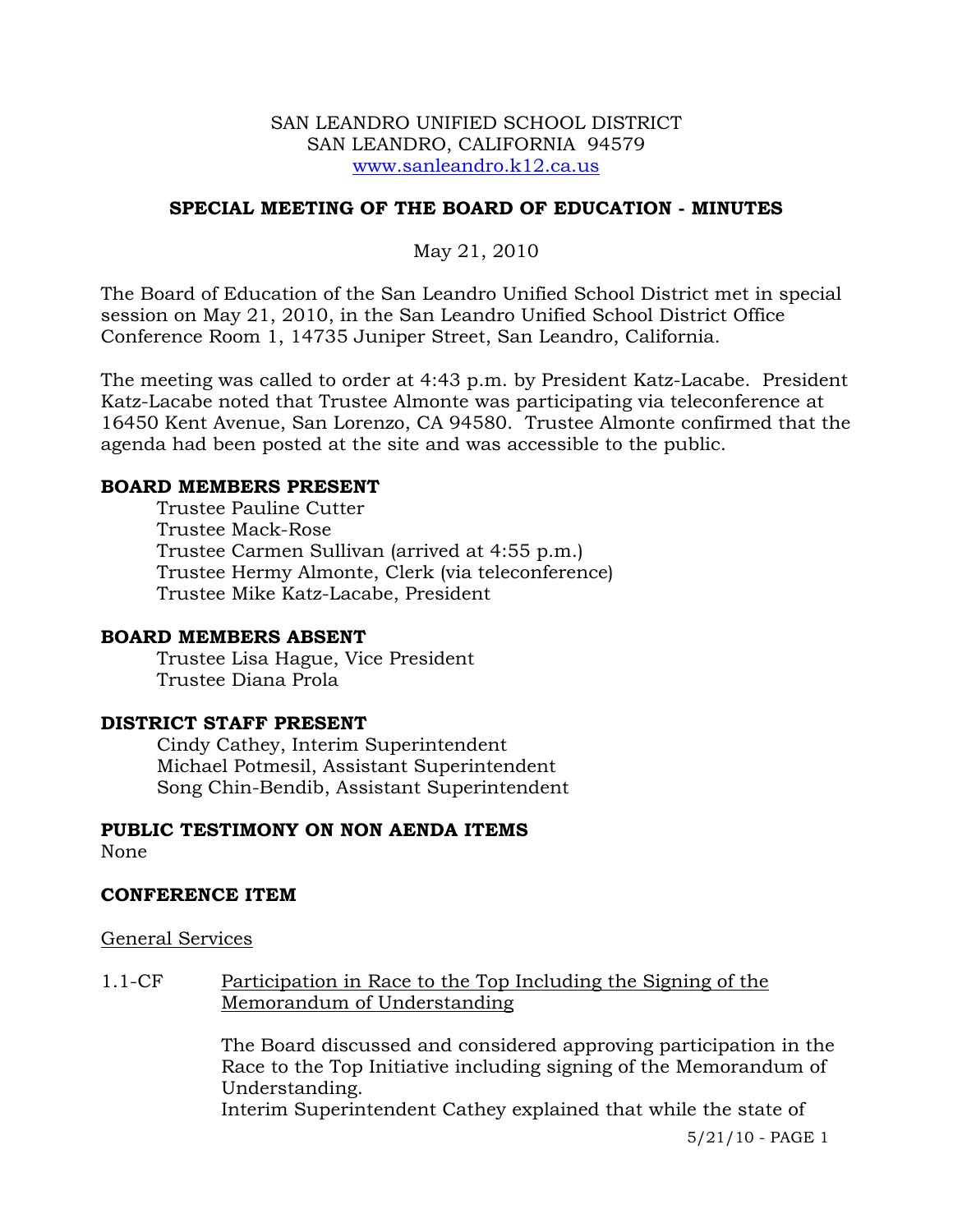### SAN LEANDRO UNIFIED SCHOOL DISTRICT SAN LEANDRO, CALIFORNIA 94579 www.sanleandro.k12.ca.us

# **SPECIAL MEETING OF THE BOARD OF EDUCATION - MINUTES**

May 21, 2010

The Board of Education of the San Leandro Unified School District met in special session on May 21, 2010, in the San Leandro Unified School District Office Conference Room 1, 14735 Juniper Street, San Leandro, California.

The meeting was called to order at 4:43 p.m. by President Katz-Lacabe. President Katz-Lacabe noted that Trustee Almonte was participating via teleconference at 16450 Kent Avenue, San Lorenzo, CA 94580. Trustee Almonte confirmed that the agenda had been posted at the site and was accessible to the public.

## **BOARD MEMBERS PRESENT**

Trustee Pauline Cutter Trustee Mack-Rose Trustee Carmen Sullivan (arrived at 4:55 p.m.) Trustee Hermy Almonte, Clerk (via teleconference) Trustee Mike Katz-Lacabe, President

#### **BOARD MEMBERS ABSENT**

Trustee Lisa Hague, Vice President Trustee Diana Prola

## **DISTRICT STAFF PRESENT**

Cindy Cathey, Interim Superintendent Michael Potmesil, Assistant Superintendent Song Chin-Bendib, Assistant Superintendent

## **PUBLIC TESTIMONY ON NON AENDA ITEMS**

None

#### **CONFERENCE ITEM**

#### General Services

1.1-CF Participation in Race to the Top Including the Signing of the Memorandum of Understanding

> The Board discussed and considered approving participation in the Race to the Top Initiative including signing of the Memorandum of Understanding.

Interim Superintendent Cathey explained that while the state of

5/21/10 - PAGE 1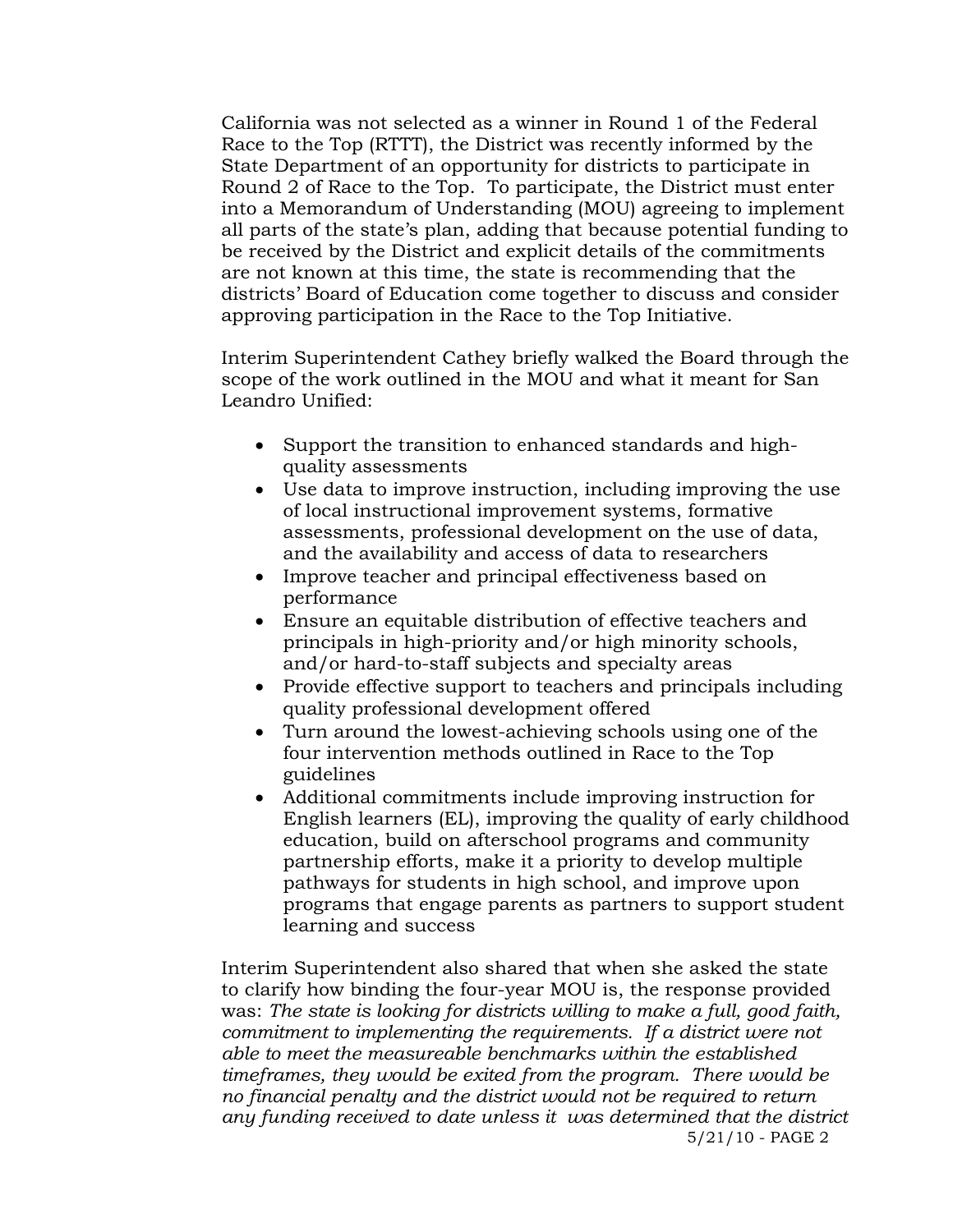California was not selected as a winner in Round 1 of the Federal Race to the Top (RTTT), the District was recently informed by the State Department of an opportunity for districts to participate in Round 2 of Race to the Top. To participate, the District must enter into a Memorandum of Understanding (MOU) agreeing to implement all parts of the state's plan, adding that because potential funding to be received by the District and explicit details of the commitments are not known at this time, the state is recommending that the districts' Board of Education come together to discuss and consider approving participation in the Race to the Top Initiative.

Interim Superintendent Cathey briefly walked the Board through the scope of the work outlined in the MOU and what it meant for San Leandro Unified:

- Support the transition to enhanced standards and highquality assessments
- Use data to improve instruction, including improving the use of local instructional improvement systems, formative assessments, professional development on the use of data, and the availability and access of data to researchers
- Improve teacher and principal effectiveness based on performance
- Ensure an equitable distribution of effective teachers and principals in high-priority and/or high minority schools, and/or hard-to-staff subjects and specialty areas
- Provide effective support to teachers and principals including quality professional development offered
- Turn around the lowest-achieving schools using one of the four intervention methods outlined in Race to the Top guidelines
- Additional commitments include improving instruction for English learners (EL), improving the quality of early childhood education, build on afterschool programs and community partnership efforts, make it a priority to develop multiple pathways for students in high school, and improve upon programs that engage parents as partners to support student learning and success

 5/21/10 - PAGE 2 Interim Superintendent also shared that when she asked the state to clarify how binding the four-year MOU is, the response provided was: *The state is looking for districts willing to make a full, good faith, commitment to implementing the requirements. If a district were not able to meet the measureable benchmarks within the established timeframes, they would be exited from the program. There would be no financial penalty and the district would not be required to return any funding received to date unless it was determined that the district*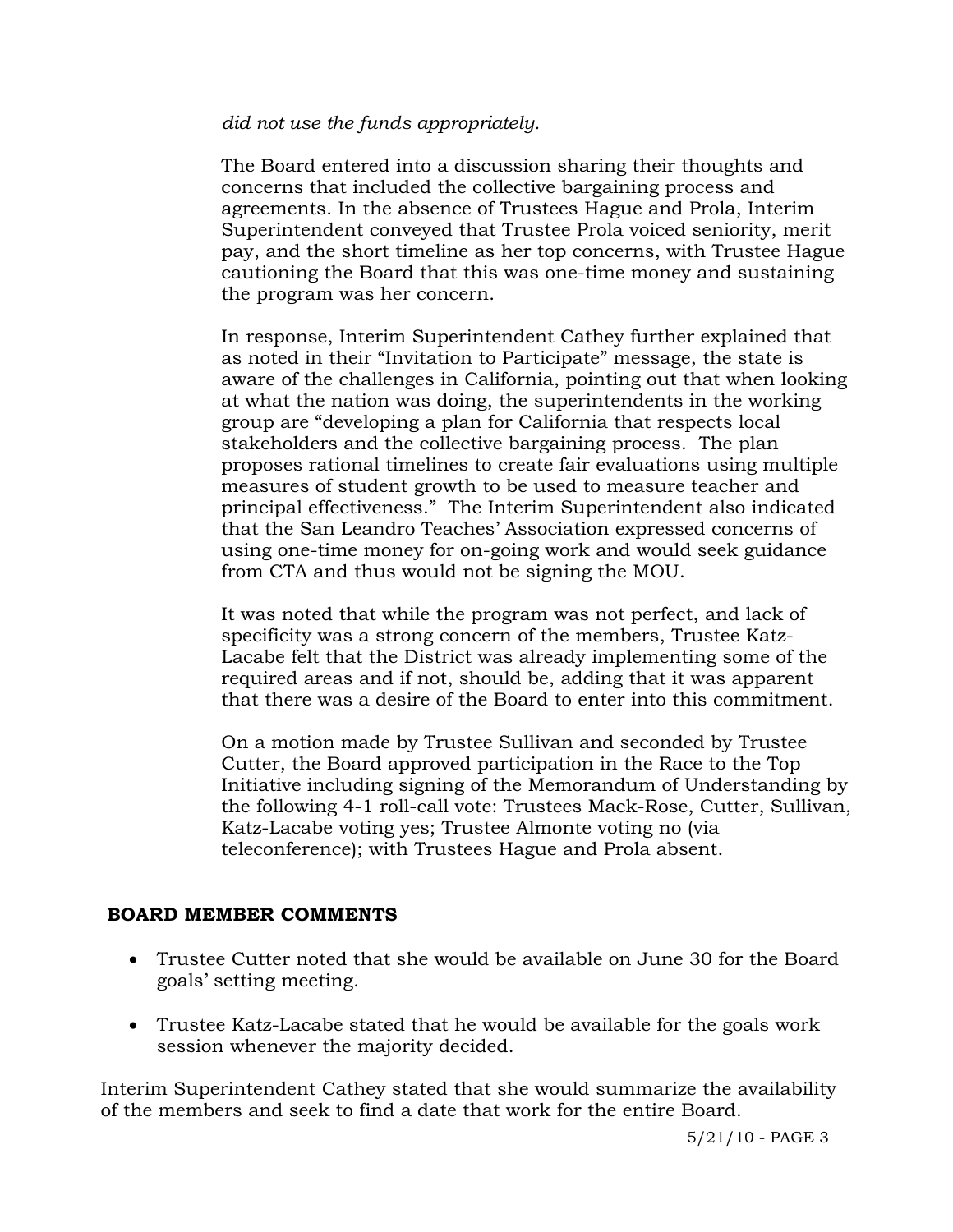# *did not use the funds appropriately.*

The Board entered into a discussion sharing their thoughts and concerns that included the collective bargaining process and agreements. In the absence of Trustees Hague and Prola, Interim Superintendent conveyed that Trustee Prola voiced seniority, merit pay, and the short timeline as her top concerns, with Trustee Hague cautioning the Board that this was one-time money and sustaining the program was her concern.

In response, Interim Superintendent Cathey further explained that as noted in their "Invitation to Participate" message, the state is aware of the challenges in California, pointing out that when looking at what the nation was doing, the superintendents in the working group are "developing a plan for California that respects local stakeholders and the collective bargaining process. The plan proposes rational timelines to create fair evaluations using multiple measures of student growth to be used to measure teacher and principal effectiveness." The Interim Superintendent also indicated that the San Leandro Teaches' Association expressed concerns of using one-time money for on-going work and would seek guidance from CTA and thus would not be signing the MOU.

It was noted that while the program was not perfect, and lack of specificity was a strong concern of the members, Trustee Katz-Lacabe felt that the District was already implementing some of the required areas and if not, should be, adding that it was apparent that there was a desire of the Board to enter into this commitment.

On a motion made by Trustee Sullivan and seconded by Trustee Cutter, the Board approved participation in the Race to the Top Initiative including signing of the Memorandum of Understanding by the following 4-1 roll-call vote: Trustees Mack-Rose, Cutter, Sullivan, Katz-Lacabe voting yes; Trustee Almonte voting no (via teleconference); with Trustees Hague and Prola absent.

# **BOARD MEMBER COMMENTS**

- Trustee Cutter noted that she would be available on June 30 for the Board goals' setting meeting.
- Trustee Katz-Lacabe stated that he would be available for the goals work session whenever the majority decided.

Interim Superintendent Cathey stated that she would summarize the availability of the members and seek to find a date that work for the entire Board.